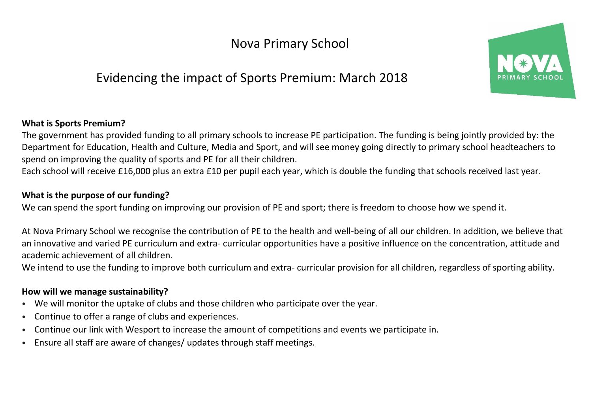Nova Primary School

# Evidencing the impact of Sports Premium: March 2018



## **What is Sports Premium?**

The government has provided funding to all primary schools to increase PE participation. The funding is being jointly provided by: the Department for Education, Health and Culture, Media and Sport, and will see money going directly to primary school headteachers to spend on improving the quality of sports and PE for all their children.

Each school will receive £16,000 plus an extra £10 per pupil each year, which is double the funding that schools received last year.

## **What is the purpose of our funding?**

We can spend the sport funding on improving our provision of PE and sport; there is freedom to choose how we spend it.

At Nova Primary School we recognise the contribution of PE to the health and well-being of all our children. In addition, we believe that an innovative and varied PE curriculum and extra- curricular opportunities have a positive influence on the concentration, attitude and academic achievement of all children.

We intend to use the funding to improve both curriculum and extra- curricular provision for all children, regardless of sporting ability.

#### **How will we manage sustainability?**

- We will monitor the uptake of clubs and those children who participate over the year.
- Continue to offer a range of clubs and experiences.
- Continue our link with Wesport to increase the amount of competitions and events we participate in.
- Ensure all staff are aware of changes/ updates through staff meetings.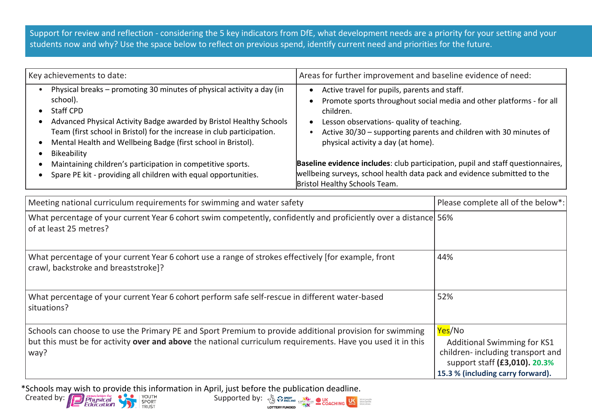Support for review and reflection - considering the 5 key indicators from DfE, what development needs are a priority for your setting and your students now and why? Use the space below to reflect on previous spend, identify current need and priorities for the future.

| Key achievements to date:                                                                                                                                                                                                                                                                                                      | Areas for further improvement and baseline evidence of need:                                                                                                                                                                                                                              |  |  |  |
|--------------------------------------------------------------------------------------------------------------------------------------------------------------------------------------------------------------------------------------------------------------------------------------------------------------------------------|-------------------------------------------------------------------------------------------------------------------------------------------------------------------------------------------------------------------------------------------------------------------------------------------|--|--|--|
| Physical breaks - promoting 30 minutes of physical activity a day (in<br>school).<br>Staff CPD<br>Advanced Physical Activity Badge awarded by Bristol Healthy Schools<br>Team (first school in Bristol) for the increase in club participation.<br>Mental Health and Wellbeing Badge (first school in Bristol).<br>Bikeability | Active travel for pupils, parents and staff.<br>Promote sports throughout social media and other platforms - for all<br>children.<br>Lesson observations- quality of teaching.<br>Active 30/30 - supporting parents and children with 30 minutes of<br>physical activity a day (at home). |  |  |  |
| Maintaining children's participation in competitive sports.<br>Spare PE kit - providing all children with equal opportunities.                                                                                                                                                                                                 | Baseline evidence includes: club participation, pupil and staff questionnaires,<br>wellbeing surveys, school health data pack and evidence submitted to the                                                                                                                               |  |  |  |
|                                                                                                                                                                                                                                                                                                                                | Bristol Healthy Schools Team.                                                                                                                                                                                                                                                             |  |  |  |

| Meeting national curriculum requirements for swimming and water safety                                                                                                                                                         | Please complete all of the below*:                                                                                                                     |
|--------------------------------------------------------------------------------------------------------------------------------------------------------------------------------------------------------------------------------|--------------------------------------------------------------------------------------------------------------------------------------------------------|
| What percentage of your current Year 6 cohort swim competently, confidently and proficiently over a distance 56%<br>of at least 25 metres?                                                                                     |                                                                                                                                                        |
| What percentage of your current Year 6 cohort use a range of strokes effectively [for example, front<br>crawl, backstroke and breaststroke]?                                                                                   | 44%                                                                                                                                                    |
| What percentage of your current Year 6 cohort perform safe self-rescue in different water-based<br>situations?                                                                                                                 | 52%                                                                                                                                                    |
| Schools can choose to use the Primary PE and Sport Premium to provide additional provision for swimming<br>but this must be for activity over and above the national curriculum requirements. Have you used it in this<br>way? | Yes/No<br><b>Additional Swimming for KS1</b><br>children-including transport and<br>support staff (£3,010). 20.3%<br>15.3 % (including carry forward). |

\*Schools may wish to provide this information in April, just before the publication deadline.

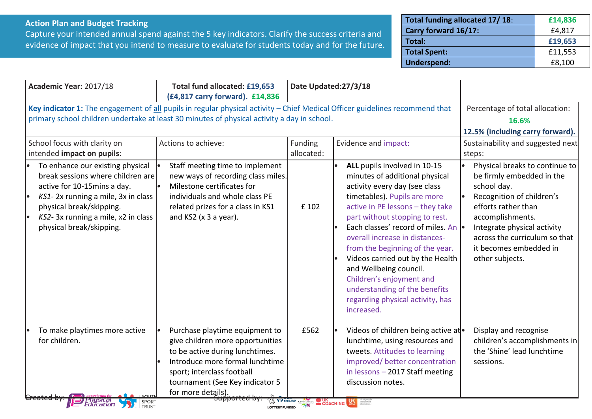#### **Action Plan and Budget Tracking**

Capture your intended annual spend against the 5 key indicators. Clarify the success criteria and evidence of impact that you intend to measure to evaluate for students today and for the future.

| Total funding allocated 17/18: | £14,836 |
|--------------------------------|---------|
| Carry forward 16/17:           | £4,817  |
| Total:                         | £19,653 |
| <b>Total Spent:</b>            | £11,553 |
| <b>Underspend:</b>             | £8,100  |

| Academic Year: 2017/18                                                                                                                                                                                                                         | Total fund allocated: £19,653<br>(£4,817 carry forward). £14,836                                                                                                                                                                | Date Updated:27/3/18         |                                                                                                                                                                                                                                                                                                                                                                                                                                                                                                 |                                                                                                                                                                                                                                                                 |
|------------------------------------------------------------------------------------------------------------------------------------------------------------------------------------------------------------------------------------------------|---------------------------------------------------------------------------------------------------------------------------------------------------------------------------------------------------------------------------------|------------------------------|-------------------------------------------------------------------------------------------------------------------------------------------------------------------------------------------------------------------------------------------------------------------------------------------------------------------------------------------------------------------------------------------------------------------------------------------------------------------------------------------------|-----------------------------------------------------------------------------------------------------------------------------------------------------------------------------------------------------------------------------------------------------------------|
| Key indicator 1: The engagement of all pupils in regular physical activity - Chief Medical Officer guidelines recommend that<br>primary school children undertake at least 30 minutes of physical activity a day in school.                    |                                                                                                                                                                                                                                 |                              |                                                                                                                                                                                                                                                                                                                                                                                                                                                                                                 | Percentage of total allocation:<br>16.6%<br>12.5% (including carry forward).                                                                                                                                                                                    |
| School focus with clarity on<br>intended impact on pupils:                                                                                                                                                                                     | Actions to achieve:                                                                                                                                                                                                             | <b>Funding</b><br>allocated: | Evidence and impact:                                                                                                                                                                                                                                                                                                                                                                                                                                                                            | Sustainability and suggested next<br>steps:                                                                                                                                                                                                                     |
| To enhance our existing physical<br>break sessions where children are<br>active for 10-15mins a day.<br>KS1-2x running a mile, 3x in class<br>physical break/skipping.<br>KS2-3x running a mile, x2 in class<br>I۰<br>physical break/skipping. | Staff meeting time to implement<br>new ways of recording class miles.<br>Milestone certificates for<br>individuals and whole class PE<br>related prizes for a class in KS1<br>and $KS2$ ( $x$ 3 a year).                        | £ 102                        | ALL pupils involved in 10-15<br>minutes of additional physical<br>activity every day (see class<br>timetables). Pupils are more<br>active in PE lessons - they take<br>part without stopping to rest.<br>Each classes' record of miles. An  .<br>overall increase in distances-<br>from the beginning of the year.<br>Videos carried out by the Health<br>and Wellbeing council.<br>Children's enjoyment and<br>understanding of the benefits<br>regarding physical activity, has<br>increased. | Physical breaks to continue to<br>be firmly embedded in the<br>school day.<br>Recognition of children's<br>efforts rather than<br>accomplishments.<br>Integrate physical activity<br>across the curriculum so that<br>it becomes embedded in<br>other subjects. |
| To make playtimes more active<br>for children.                                                                                                                                                                                                 | Purchase playtime equipment to<br>give children more opportunities<br>to be active during lunchtimes.<br>Introduce more formal lunchtime<br>sport; interclass football<br>tournament (See Key indicator 5<br>for more details). | £562                         | Videos of children being active at<br>lunchtime, using resources and<br>tweets. Attitudes to learning<br>improved/ better concentration<br>in lessons - 2017 Staff meeting<br>discussion notes.                                                                                                                                                                                                                                                                                                 | Display and recognise<br>children's accomplishments in<br>the 'Shine' lead lunchtime<br>sessions.                                                                                                                                                               |
| <i><b>Physical</b></i><br>Education<br>SPORT<br>TRUST                                                                                                                                                                                          | <del>supportea by:</del><br><b>LOTTERY FUNDED</b>                                                                                                                                                                               | THE REAGAND CSPNETWORK       | COACHING <b>BANK</b>                                                                                                                                                                                                                                                                                                                                                                                                                                                                            |                                                                                                                                                                                                                                                                 |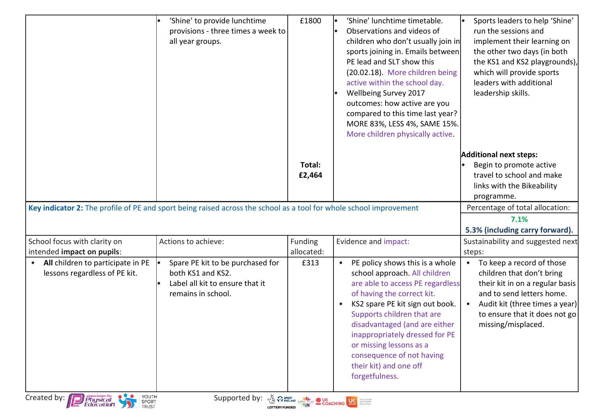|                                                                                                                    |                                                                                                                |                       | sports joining in. Emails between<br>PE lead and SLT show this<br>(20.02.18). More children being<br>active within the school day.<br>Wellbeing Survey 2017<br>outcomes: how active are you<br>compared to this time last year?<br>MORE 83%, LESS 4%, SAME 15%.<br>More children physically active.                                                                                                  | the other two days (in both<br>the KS1 and KS2 playgrounds),<br>which will provide sports<br>leaders with additional<br>leadership skills.                                                                                   |
|--------------------------------------------------------------------------------------------------------------------|----------------------------------------------------------------------------------------------------------------|-----------------------|------------------------------------------------------------------------------------------------------------------------------------------------------------------------------------------------------------------------------------------------------------------------------------------------------------------------------------------------------------------------------------------------------|------------------------------------------------------------------------------------------------------------------------------------------------------------------------------------------------------------------------------|
| Key indicator 2: The profile of PE and sport being raised across the school as a tool for whole school improvement |                                                                                                                | Total:<br>£2,464      |                                                                                                                                                                                                                                                                                                                                                                                                      | <b>Additional next steps:</b><br>Begin to promote active<br>travel to school and make<br>links with the Bikeability<br>programme.<br>Percentage of total allocation:<br>7.1%                                                 |
|                                                                                                                    |                                                                                                                |                       |                                                                                                                                                                                                                                                                                                                                                                                                      | 5.3% (including carry forward).                                                                                                                                                                                              |
| School focus with clarity on<br>intended impact on pupils:                                                         | Actions to achieve:                                                                                            | Funding<br>allocated: | Evidence and impact:                                                                                                                                                                                                                                                                                                                                                                                 | Sustainability and suggested next<br>steps:                                                                                                                                                                                  |
| All children to participate in PE<br>$\bullet$<br>lessons regardless of PE kit.<br>Created by: Physical            | Spare PE kit to be purchased for<br>both KS1 and KS2.<br>Label all kit to ensure that it<br>remains in school. | £313                  | PE policy shows this is a whole<br>$\bullet$<br>school approach. All children<br>are able to access PE regardless<br>of having the correct kit.<br>KS2 spare PE kit sign out book.<br>$\bullet$<br>Supports children that are<br>disadvantaged (and are either<br>inappropriately dressed for PE<br>or missing lessons as a<br>consequence of not having<br>their kit) and one off<br>forgetfulness. | To keep a record of those<br>$\bullet$<br>children that don't bring<br>their kit in on a regular basis<br>and to send letters home.<br>Audit kit (three times a year)<br>to ensure that it does not go<br>missing/misplaced. |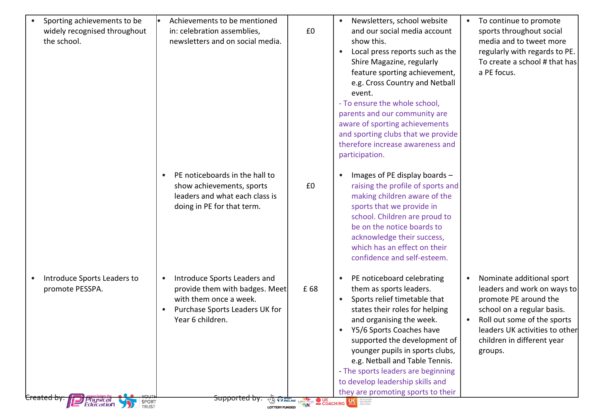| Sporting achievements to be<br>widely recognised throughout<br>the school.                                            | Achievements to be mentioned<br>in: celebration assemblies,<br>newsletters and on social media.                                                                                         | £0  | Newsletters, school website<br>$\bullet$<br>and our social media account<br>show this.<br>Local press reports such as the<br>$\bullet$<br>Shire Magazine, regularly<br>feature sporting achievement,<br>e.g. Cross Country and Netball<br>event.<br>- To ensure the whole school,<br>parents and our community are<br>aware of sporting achievements<br>and sporting clubs that we provide<br>therefore increase awareness and<br>participation.                          | To continue to promote<br>$\bullet$<br>sports throughout social<br>media and to tweet more<br>regularly with regards to PE.<br>To create a school # that has<br>a PE focus.                                                                         |
|-----------------------------------------------------------------------------------------------------------------------|-----------------------------------------------------------------------------------------------------------------------------------------------------------------------------------------|-----|---------------------------------------------------------------------------------------------------------------------------------------------------------------------------------------------------------------------------------------------------------------------------------------------------------------------------------------------------------------------------------------------------------------------------------------------------------------------------|-----------------------------------------------------------------------------------------------------------------------------------------------------------------------------------------------------------------------------------------------------|
|                                                                                                                       | PE noticeboards in the hall to<br>$\bullet$<br>show achievements, sports<br>leaders and what each class is<br>doing in PE for that term.                                                | £0  | Images of PE display boards -<br>$\bullet$<br>raising the profile of sports and<br>making children aware of the<br>sports that we provide in<br>school. Children are proud to<br>be on the notice boards to<br>acknowledge their success,<br>which has an effect on their<br>confidence and self-esteem.                                                                                                                                                                  |                                                                                                                                                                                                                                                     |
| Introduce Sports Leaders to<br>$\bullet$<br>promote PESSPA.<br>Created by:<br>Physical<br>Education<br>SPORT<br>TRUST | Introduce Sports Leaders and<br>$\bullet$<br>provide them with badges. Meet<br>with them once a week.<br>Purchase Sports Leaders UK for<br>Year 6 children.<br><del>Supported by:</del> | £68 | PE noticeboard celebrating<br>$\bullet$<br>them as sports leaders.<br>Sports relief timetable that<br>$\bullet$<br>states their roles for helping<br>and organising the week.<br>Y5/6 Sports Coaches have<br>supported the development of<br>younger pupils in sports clubs,<br>e.g. Netball and Table Tennis.<br>- The sports leaders are beginning<br>to develop leadership skills and<br>they are promoting sports to their<br><b>TO STARD GARDENS ON COACHING USE</b> | Nominate additional sport<br>$\bullet$<br>leaders and work on ways to<br>promote PE around the<br>school on a regular basis.<br>Roll out some of the sports<br>$\bullet$<br>leaders UK activities to other<br>children in different year<br>groups. |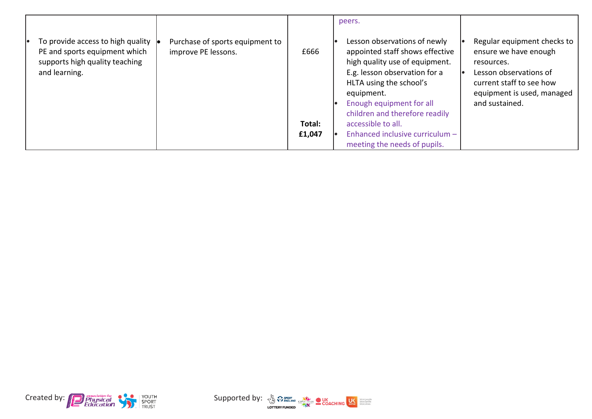|                                                                                                                       |                                                        |        | peers.                                                                                                                                                                                                                                    |                                                                                                                                                                          |
|-----------------------------------------------------------------------------------------------------------------------|--------------------------------------------------------|--------|-------------------------------------------------------------------------------------------------------------------------------------------------------------------------------------------------------------------------------------------|--------------------------------------------------------------------------------------------------------------------------------------------------------------------------|
| To provide access to high quality<br>PE and sports equipment which<br>supports high quality teaching<br>and learning. | Purchase of sports equipment to<br>improve PE lessons. | £666   | Lesson observations of newly<br>appointed staff shows effective<br>high quality use of equipment.<br>E.g. lesson observation for a<br>HLTA using the school's<br>equipment.<br>Enough equipment for all<br>children and therefore readily | Regular equipment checks to<br>ensure we have enough<br>resources.<br>Lesson observations of<br>current staff to see how<br>equipment is used, managed<br>and sustained. |
|                                                                                                                       |                                                        | Total: | accessible to all.                                                                                                                                                                                                                        |                                                                                                                                                                          |
|                                                                                                                       |                                                        | £1,047 | Enhanced inclusive curriculum -                                                                                                                                                                                                           |                                                                                                                                                                          |
|                                                                                                                       |                                                        |        | meeting the needs of pupils.                                                                                                                                                                                                              |                                                                                                                                                                          |



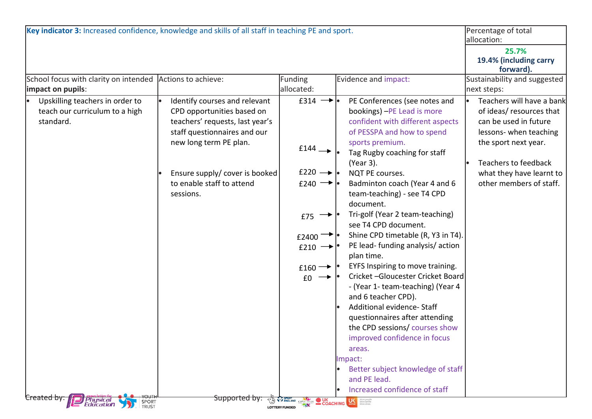| School focus with clarity on intended Actions to achieve:<br>impact on pupils:<br>Identify courses and relevant<br>Upskilling teachers in order to<br>teach our curriculum to a high<br>CPD opportunities based on<br>standard.<br>teachers' requests, last year's<br>staff questionnaires and our<br>new long term PE plan. | Funding<br>allocated:<br>$f314 \rightarrow \bullet$<br>$£144 \rightarrow$                                                                                          | Evidence and impact:<br>PE Conferences (see notes and<br>bookings) - PE Lead is more<br>confident with different aspects<br>of PESSPA and how to spend<br>sports premium.<br>Tag Rugby coaching for staff                                                                                                                                                                                                                                                                                                                                                                                                                                                                  | 25.7%<br>19.4% (including carry<br>forward).<br>Sustainability and suggested<br>next steps:<br>of ideas/ resources that<br>can be used in future<br>lessons-when teaching<br>the sport next year. |
|------------------------------------------------------------------------------------------------------------------------------------------------------------------------------------------------------------------------------------------------------------------------------------------------------------------------------|--------------------------------------------------------------------------------------------------------------------------------------------------------------------|----------------------------------------------------------------------------------------------------------------------------------------------------------------------------------------------------------------------------------------------------------------------------------------------------------------------------------------------------------------------------------------------------------------------------------------------------------------------------------------------------------------------------------------------------------------------------------------------------------------------------------------------------------------------------|---------------------------------------------------------------------------------------------------------------------------------------------------------------------------------------------------|
|                                                                                                                                                                                                                                                                                                                              |                                                                                                                                                                    |                                                                                                                                                                                                                                                                                                                                                                                                                                                                                                                                                                                                                                                                            | Teachers will have a bank                                                                                                                                                                         |
|                                                                                                                                                                                                                                                                                                                              |                                                                                                                                                                    |                                                                                                                                                                                                                                                                                                                                                                                                                                                                                                                                                                                                                                                                            |                                                                                                                                                                                                   |
| Ensure supply/ cover is booked<br>to enable staff to attend<br>sessions.<br>Created by:<br><del>Supported by</del><br>Physica<br>CO TY ENGLAND CSPN<br>SPORT                                                                                                                                                                 | $£220 \rightarrow$<br>$f(240 \rightarrow \bullet)$<br>£75<br>$f2400$ <sup>-&gt;</sup><br>£210 $\rightarrow$<br>£160 $\rightarrow$<br>£0<br><b>S</b> UK<br>COACHING | (Year 3).<br>NQT PE courses.<br>Badminton coach (Year 4 and 6<br>team-teaching) - see T4 CPD<br>document.<br>Tri-golf (Year 2 team-teaching)<br>see T4 CPD document.<br>Shine CPD timetable (R, Y3 in T4).<br>PE lead-funding analysis/action<br>plan time.<br>EYFS Inspiring to move training.<br>Cricket-Gloucester Cricket Board<br>- (Year 1- team-teaching) (Year 4<br>and 6 teacher CPD).<br>Additional evidence- Staff<br>questionnaires after attending<br>the CPD sessions/ courses show<br>improved confidence in focus<br>areas.<br>Impact:<br>Better subject knowledge of staff<br>and PE lead.<br>Increased confidence of staff<br><b>License</b> More people | Teachers to feedback<br>what they have learnt to<br>other members of staff.                                                                                                                       |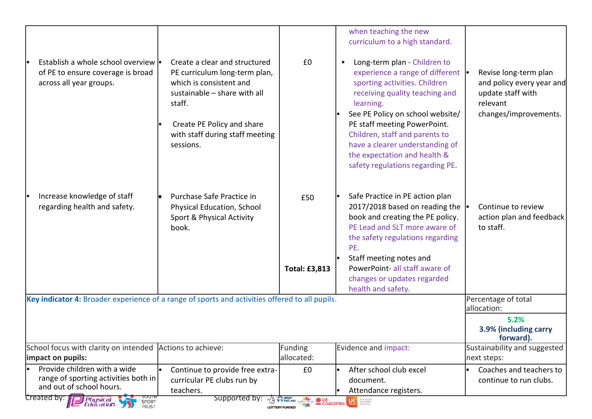|                                                                                                      |                                                                                                                                                                                                                   |                                                                                                                                    | when teaching the new<br>curriculum to a high standard.                                                                                                                                                                                                                                                                                                        |                                                                                                              |  |
|------------------------------------------------------------------------------------------------------|-------------------------------------------------------------------------------------------------------------------------------------------------------------------------------------------------------------------|------------------------------------------------------------------------------------------------------------------------------------|----------------------------------------------------------------------------------------------------------------------------------------------------------------------------------------------------------------------------------------------------------------------------------------------------------------------------------------------------------------|--------------------------------------------------------------------------------------------------------------|--|
| Establish a whole school overview  .<br>of PE to ensure coverage is broad<br>across all year groups. | Create a clear and structured<br>PE curriculum long-term plan,<br>which is consistent and<br>sustainable - share with all<br>staff.<br>Create PE Policy and share<br>with staff during staff meeting<br>sessions. | £0                                                                                                                                 | Long-term plan - Children to<br>experience a range of different •<br>sporting activities. Children<br>receiving quality teaching and<br>learning.<br>See PE Policy on school website/<br>PE staff meeting PowerPoint.<br>Children, staff and parents to<br>have a clearer understanding of<br>the expectation and health &<br>safety regulations regarding PE. | Revise long-term plan<br>and policy every year and<br>update staff with<br>relevant<br>changes/improvements. |  |
| Increase knowledge of staff<br>regarding health and safety.                                          | Purchase Safe Practice in<br>Physical Education, School<br>Sport & Physical Activity<br>book.                                                                                                                     | £50<br><b>Total: £3,813</b>                                                                                                        | Safe Practice in PE action plan<br>2017/2018 based on reading the<br>book and creating the PE policy.<br>PE Lead and SLT more aware of<br>the safety regulations regarding<br>PE.<br>Staff meeting notes and<br>PowerPoint-all staff aware of<br>changes or updates regarded<br>health and safety.                                                             | Continue to review<br>action plan and feedback<br>to staff.                                                  |  |
| Key indicator 4: Broader experience of a range of sports and activities offered to all pupils.       |                                                                                                                                                                                                                   |                                                                                                                                    |                                                                                                                                                                                                                                                                                                                                                                | Percentage of total<br>allocation:                                                                           |  |
| 5.2%<br>3.9% (including carry<br>forward).                                                           |                                                                                                                                                                                                                   |                                                                                                                                    |                                                                                                                                                                                                                                                                                                                                                                |                                                                                                              |  |
| School focus with clarity on intended Actions to achieve:<br>limpact on pupils:                      |                                                                                                                                                                                                                   | Funding<br>allocated:                                                                                                              | Evidence and impact:                                                                                                                                                                                                                                                                                                                                           | Sustainability and suggested<br>next steps:                                                                  |  |
| Provide children with a wide<br>range of sporting activities both in<br>and out of school hours.     | Continue to provide free extra-<br>curricular PE clubs run by<br>teachers.                                                                                                                                        | £0                                                                                                                                 | After school club excel<br>document.<br>Attendance registers.                                                                                                                                                                                                                                                                                                  | Coaches and teachers to<br>continue to run clubs.                                                            |  |
| Created by: <b>D</b> Physical<br>YOUTH<br>SPORT<br>TRUST                                             | Supported by:                                                                                                                                                                                                     | <b>EXECUTE OF SPORT AND COACHING LE SECOND SECOND COACHING COACHING SECOND SECOND SECOND CONSTRUCTION</b><br><b>LOTTERY FUNDED</b> |                                                                                                                                                                                                                                                                                                                                                                |                                                                                                              |  |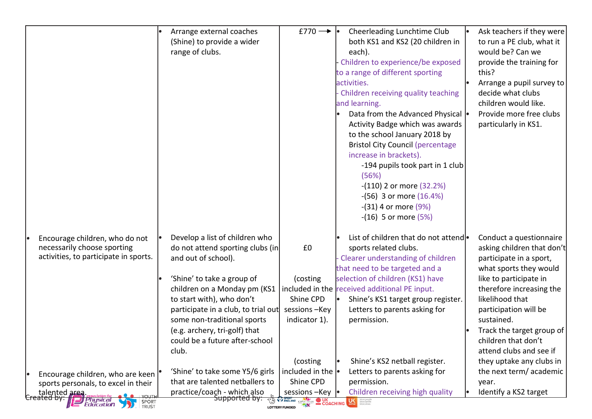|                                                                                                                                                                         | Arrange external coaches<br>(Shine) to provide a wider<br>range of clubs.                                                                                                                                                                                                                                                              | £770 $\rightarrow$<br>Cheerleading Lunchtime Club<br>both KS1 and KS2 (20 children in<br>each).<br>Children to experience/be exposed<br>to a range of different sporting<br>activities.<br>Children receiving quality teaching<br>and learning.<br>Data from the Advanced Physical  <br>Activity Badge which was awards<br>to the school January 2018 by<br><b>Bristol City Council (percentage)</b><br>increase in brackets).<br>-194 pupils took part in 1 club<br>(56%)<br>$-(110)$ 2 or more $(32.2%)$<br>$-(56)$ 3 or more $(16.4\%)$<br>$-(31)$ 4 or more $(9%)$<br>$-(16)$ 5 or more $(5%)$ | Ask teachers if they were<br>to run a PE club, what it<br>would be? Can we<br>provide the training for<br>this?<br>Arrange a pupil survey to<br>decide what clubs<br>children would like.<br>Provide more free clubs<br>particularly in KS1.                                                                                          |
|-------------------------------------------------------------------------------------------------------------------------------------------------------------------------|----------------------------------------------------------------------------------------------------------------------------------------------------------------------------------------------------------------------------------------------------------------------------------------------------------------------------------------|----------------------------------------------------------------------------------------------------------------------------------------------------------------------------------------------------------------------------------------------------------------------------------------------------------------------------------------------------------------------------------------------------------------------------------------------------------------------------------------------------------------------------------------------------------------------------------------------------|---------------------------------------------------------------------------------------------------------------------------------------------------------------------------------------------------------------------------------------------------------------------------------------------------------------------------------------|
| Encourage children, who do not<br>necessarily choose sporting<br>activities, to participate in sports.                                                                  | Develop a list of children who<br>do not attend sporting clubs (in<br>and out of school).<br>'Shine' to take a group of<br>children on a Monday pm (KS1<br>to start with), who don't<br>participate in a club, to trial out<br>some non-traditional sports<br>(e.g. archery, tri-golf) that<br>could be a future after-school<br>club. | List of children that do not attendlo<br>£0<br>sports related clubs.<br>Clearer understanding of children<br>that need to be targeted and a<br>selection of children (KS1) have<br>(costing<br>included in the received additional PE input.<br>Shine CPD<br>Shine's KS1 target group register.<br>sessions-Key<br>Letters to parents asking for<br>indicator 1).<br>permission.<br>Shine's KS2 netball register.                                                                                                                                                                                  | Conduct a questionnaire<br>asking children that don't<br>participate in a sport,<br>what sports they would<br>like to participate in<br>therefore increasing the<br>likelihood that<br>participation will be<br>sustained.<br>Track the target group of<br>children that don't<br>attend clubs and see if<br>they uptake any clubs in |
| Encourage children, who are keen<br>sports personals, to excel in their<br>La talented area.<br><b>association for<br/>  Physical<br/>  Education</b><br>SPORT<br>TRUST | 'Shine' to take some Y5/6 girls<br>that are talented netballers to<br>practice/coach - which also<br><del>Supported by:</del>                                                                                                                                                                                                          | (costing)<br>included in the $\cdot$<br>Letters to parents asking for<br>Shine CPD<br>permission.<br>Children receiving high quality<br>sessions-Key<br><b>TA WENGLAND CSPINETWORK COACHING</b><br><b>LA More propies</b><br><b>LOTTERY FUNDED</b>                                                                                                                                                                                                                                                                                                                                                 | the next term/academic<br>year.<br>Identify a KS2 target                                                                                                                                                                                                                                                                              |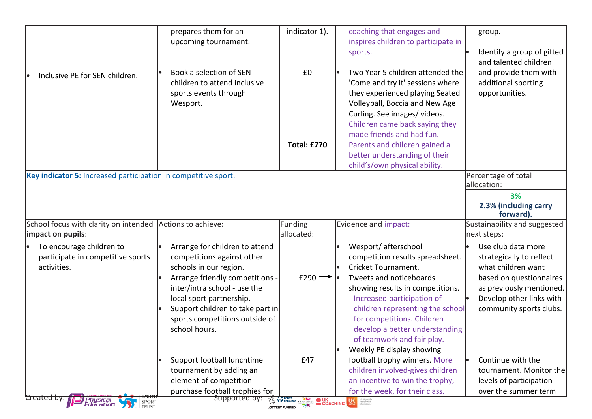|                                                                                | prepares them for an<br>upcoming tournament.                                                                                                                                                                                                                                 | indicator 1).                                         | coaching that engages and<br>inspires children to participate in                                                                                                                                                                                                                                                                            | group.                                                                                                                                                                             |
|--------------------------------------------------------------------------------|------------------------------------------------------------------------------------------------------------------------------------------------------------------------------------------------------------------------------------------------------------------------------|-------------------------------------------------------|---------------------------------------------------------------------------------------------------------------------------------------------------------------------------------------------------------------------------------------------------------------------------------------------------------------------------------------------|------------------------------------------------------------------------------------------------------------------------------------------------------------------------------------|
|                                                                                |                                                                                                                                                                                                                                                                              |                                                       | sports.                                                                                                                                                                                                                                                                                                                                     | Identify a group of gifted<br>and talented children                                                                                                                                |
| Inclusive PE for SEN children.                                                 | Book a selection of SEN<br>children to attend inclusive<br>sports events through<br>Wesport.                                                                                                                                                                                 | £0                                                    | Two Year 5 children attended the<br>'Come and try it' sessions where<br>they experienced playing Seated<br>Volleyball, Boccia and New Age                                                                                                                                                                                                   | and provide them with<br>additional sporting<br>opportunities.                                                                                                                     |
|                                                                                |                                                                                                                                                                                                                                                                              | <b>Total: £770</b>                                    | Curling. See images/videos.<br>Children came back saying they<br>made friends and had fun.<br>Parents and children gained a<br>better understanding of their<br>child's/own physical ability.                                                                                                                                               |                                                                                                                                                                                    |
| Key indicator 5: Increased participation in competitive sport.                 |                                                                                                                                                                                                                                                                              |                                                       |                                                                                                                                                                                                                                                                                                                                             | Percentage of total<br>allocation:                                                                                                                                                 |
|                                                                                |                                                                                                                                                                                                                                                                              |                                                       |                                                                                                                                                                                                                                                                                                                                             | 3%<br>2.3% (including carry<br>forward).                                                                                                                                           |
| School focus with clarity on intended Actions to achieve:<br>impact on pupils: |                                                                                                                                                                                                                                                                              | Funding<br>allocated:                                 | Evidence and impact:                                                                                                                                                                                                                                                                                                                        | Sustainability and suggested<br>next steps:                                                                                                                                        |
| To encourage children to<br>participate in competitive sports<br>activities.   | Arrange for children to attend<br>competitions against other<br>schools in our region.<br>Arrange friendly competitions -<br>inter/intra school - use the<br>local sport partnership.<br>Support children to take part in<br>sports competitions outside of<br>school hours. | £290 $\rightarrow$                                    | Wesport/ afterschool<br>competition results spreadsheet.<br>Cricket Tournament.<br>Tweets and noticeboards<br>showing results in competitions.<br>Increased participation of<br>children representing the school<br>for competitions. Children<br>develop a better understanding<br>of teamwork and fair play.<br>Weekly PE display showing | Use club data more<br>strategically to reflect<br>what children want<br>based on questionnaires<br>as previously mentioned.<br>Develop other links with<br>community sports clubs. |
|                                                                                | Support football lunchtime<br>tournament by adding an<br>element of competition-<br>purchase football trophies for                                                                                                                                                           | £47                                                   | football trophy winners. More<br>children involved-gives children<br>an incentive to win the trophy,<br>for the week, for their class.                                                                                                                                                                                                      | Continue with the<br>tournament. Monitor the<br>levels of participation<br>over the summer term                                                                                    |
| Created by:<br><b>Physical</b><br>Education<br>SPORT<br>TRUST                  | Supported by:                                                                                                                                                                                                                                                                | <b>TALE SPENGLAND CSPIETINGRE O UK</b> COACHING<br>78 | More people                                                                                                                                                                                                                                                                                                                                 |                                                                                                                                                                                    |